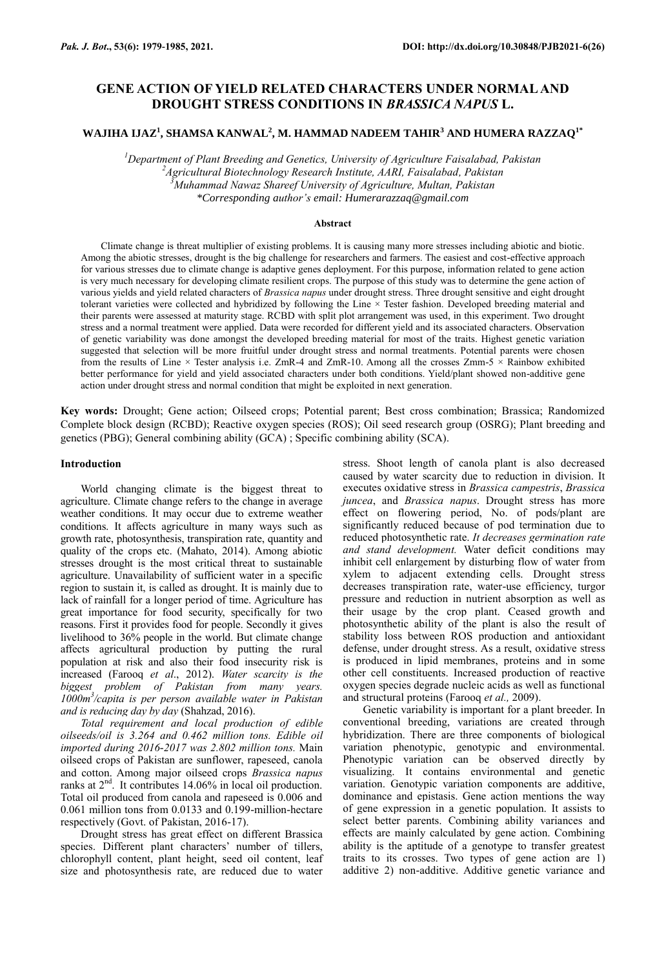# **GENE ACTION OF YIELD RELATED CHARACTERS UNDER NORMAL AND DROUGHT STRESS CONDITIONS IN** *BRASSICA NAPUS* **L.**

## **WAJIHA IJAZ<sup>1</sup> , SHAMSA KANWAL<sup>2</sup> , M. HAMMAD NADEEM TAHIR<sup>3</sup> AND HUMERA RAZZAQ1\***

*Department of Plant Breeding and Genetics, University of Agriculture Faisalabad, Pakistan Agricultural Biotechnology Research Institute, AARI, Faisalabad, Pakistan Muhammad Nawaz Shareef University of Agriculture, Multan, Pakistan \*Corresponding author's email: Humerarazzaq@gmail.com*

#### **Abstract**

Climate change is threat multiplier of existing problems. It is causing many more stresses including abiotic and biotic. Among the abiotic stresses, drought is the big challenge for researchers and farmers. The easiest and cost-effective approach for various stresses due to climate change is adaptive genes deployment. For this purpose, information related to gene action is very much necessary for developing climate resilient crops. The purpose of this study was to determine the gene action of various yields and yield related characters of *Brassica napus* under drought stress. Three drought sensitive and eight drought tolerant varieties were collected and hybridized by following the Line × Tester fashion. Developed breeding material and their parents were assessed at maturity stage. RCBD with split plot arrangement was used, in this experiment. Two drought stress and a normal treatment were applied. Data were recorded for different yield and its associated characters. Observation of genetic variability was done amongst the developed breeding material for most of the traits. Highest genetic variation suggested that selection will be more fruitful under drought stress and normal treatments. Potential parents were chosen from the results of Line  $\times$  Tester analysis i.e. ZmR-4 and ZmR-10. Among all the crosses Zmm-5  $\times$  Rainbow exhibited better performance for yield and yield associated characters under both conditions. Yield/plant showed non-additive gene action under drought stress and normal condition that might be exploited in next generation.

**Key words:** Drought; Gene action; Oilseed crops; Potential parent; Best cross combination; Brassica; Randomized Complete block design (RCBD); Reactive oxygen species (ROS); Oil seed research group (OSRG); Plant breeding and genetics (PBG); General combining ability (GCA) ; Specific combining ability (SCA).

### **Introduction**

World changing climate is the biggest threat to agriculture. Climate change refers to the change in average weather conditions. It may occur due to extreme weather conditions. It affects agriculture in many ways such as growth rate, photosynthesis, transpiration rate, quantity and quality of the crops etc. (Mahato, 2014). Among abiotic stresses drought is the most critical threat to sustainable agriculture. Unavailability of sufficient water in a specific region to sustain it, is called as drought. It is mainly due to lack of rainfall for a longer period of time. Agriculture has great importance for food security, specifically for two reasons. First it provides food for people. Secondly it gives livelihood to 36% people in the world. But climate change affects agricultural production by putting the rural population at risk and also their food insecurity risk is increased (Farooq *et al*., 2012). *Water scarcity is the biggest problem of Pakistan from many years. 1000m<sup>3</sup> /capita is per person available water in Pakistan and is reducing day by day* (Shahzad, 2016).

*Total requirement and local production of edible oilseeds/oil is 3.264 and 0.462 million tons. Edible oil imported during 2016-2017 was 2.802 million tons.* Main oilseed crops of Pakistan are sunflower, rapeseed, canola and cotton. Among major oilseed crops *Brassica napus* ranks at  $2<sup>nd</sup>$ . It contributes 14.06% in local oil production. Total oil produced from canola and rapeseed is 0.006 and 0.061 million tons from 0.0133 and 0.199-million-hectare respectively (Govt. of Pakistan, 2016-17).

Drought stress has great effect on different Brassica species. Different plant characters' number of tillers, chlorophyll content, plant height, seed oil content, leaf size and photosynthesis rate, are reduced due to water

stress. Shoot length of canola plant is also decreased caused by water scarcity due to reduction in division. It executes oxidative stress in *Brassica campestris*, *Brassica juncea*, and *Brassica napus*. Drought stress has more effect on flowering period, No. of pods/plant are significantly reduced because of pod termination due to reduced photosynthetic rate. *It decreases germination rate and stand development.* Water deficit conditions may inhibit cell enlargement by disturbing flow of water from xylem to adjacent extending cells. Drought stress decreases transpiration rate, water-use efficiency, turgor pressure and reduction in nutrient absorption as well as their usage by the crop plant. Ceased growth and photosynthetic ability of the plant is also the result of stability loss between ROS production and antioxidant defense, under drought stress. As a result, oxidative stress is produced in lipid membranes, proteins and in some other cell constituents. Increased production of reactive oxygen species degrade nucleic acids as well as functional and structural proteins (Farooq *et al.,* 2009).

Genetic variability is important for a plant breeder. In conventional breeding, variations are created through hybridization. There are three components of biological variation phenotypic, genotypic and environmental. Phenotypic variation can be observed directly by visualizing. It contains environmental and genetic variation. Genotypic variation components are additive, dominance and epistasis. Gene action mentions the way of gene expression in a genetic population. It assists to select better parents. Combining ability variances and effects are mainly calculated by gene action. Combining ability is the aptitude of a genotype to transfer greatest traits to its crosses. Two types of gene action are 1) additive 2) non-additive. Additive genetic variance and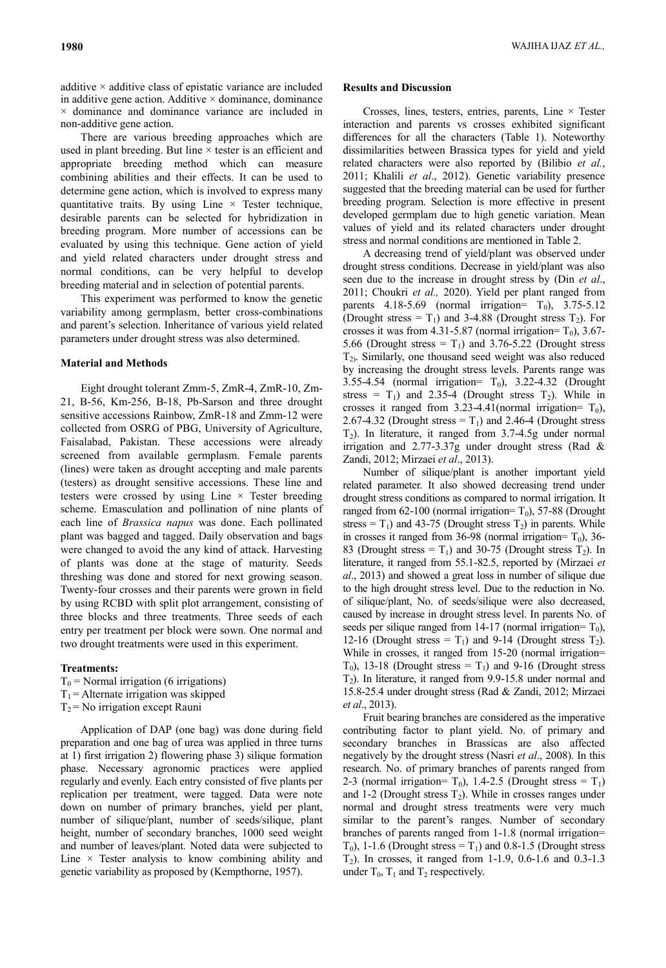additive  $\times$  additive class of epistatic variance are included in additive gene action. Additive  $\times$  dominance, dominance  $\times$  dominance and dominance variance are included in non-additive gene action.

There are various breeding approaches which are used in plant breeding. But line  $\times$  tester is an efficient and appropriate breeding method which can measure combining abilities and their effects. It can be used to determine gene action, which is involved to express many quantitative traits. By using  $Line \times Test$  rester technique, desirable parents can be selected for hybridization in breeding program. More number of accessions can be evaluated by using this technique. Gene action of yield and yield related characters under drought stress and normal conditions, can be very helpful to develop breeding material and in selection of potential parents.

This experiment was performed to know the genetic variability among germplasm, better cross-combinations and parent's selection. Inheritance of various yield related parameters under drought stress was also determined.

## **Material and Methods**

Eight drought tolerant Zmm-5, ZmR-4, ZmR-10, Zm-21, B-56, Km-256, B-18, Pb-Sarson and three drought sensitive accessions Rainbow, ZmR-18 and Zmm-12 were collected from OSRG of PBG, University of Agriculture, Faisalabad, Pakistan. These accessions were already screened from available germplasm. Female parents (lines) were taken as drought accepting and male parents (testers) as drought sensitive accessions. These line and testers were crossed by using  $Line \times$  Tester breeding scheme. Emasculation and pollination of nine plants of each line of *Brassica napus* was done. Each pollinated plant was bagged and tagged. Daily observation and bags were changed to avoid the any kind of attack. Harvesting of plants was done at the stage of maturity. Seeds threshing was done and stored for next growing season. Twenty-four crosses and their parents were grown in field by using RCBD with split plot arrangement, consisting of three blocks and three treatments. Three seeds of each entry per treatment per block were sown. One normal and two drought treatments were used in this experiment.

### **Treatments:**

 $T_0$  = Normal irrigation (6 irrigations)  $T_1$  = Alternate irrigation was skipped

 $T_2$  = No irrigation except Rauni

Application of DAP (one bag) was done during field preparation and one bag of urea was applied in three turns at 1) first irrigation 2) flowering phase 3) silique formation phase. Necessary agronomic practices were applied regularly and evenly. Each entry consisted of five plants per replication per treatment, were tagged. Data were note down on number of primary branches, yield per plant, number of silique/plant, number of seeds/silique, plant height, number of secondary branches, 1000 seed weight and number of leaves/plant. Noted data were subjected to Line  $\times$  Tester analysis to know combining ability and genetic variability as proposed by (Kempthorne, 1957).

## **Results and Discussion**

Crosses, lines, testers, entries, parents, Line × Tester interaction and parents vs crosses exhibited significant differences for all the characters (Table 1). Noteworthy dissimilarities between Brassica types for yield and yield related characters were also reported by (Bilibio *et al.*, 2011; Khalili *et al*., 2012). Genetic variability presence suggested that the breeding material can be used for further breeding program. Selection is more effective in present developed germplam due to high genetic variation. Mean values of yield and its related characters under drought stress and normal conditions are mentioned in Table 2.

A decreasing trend of yield/plant was observed under drought stress conditions. Decrease in yield/plant was also seen due to the increase in drought stress by (Din *et al*., 2011; Choukri *et al.,* 2020). Yield per plant ranged from parents  $4.18-5.69$  (normal irrigation=  $T_0$ ),  $3.75-5.12$ (Drought stress =  $T_1$ ) and 3-4.88 (Drought stress  $T_2$ ). For crosses it was from 4.31-5.87 (normal irrigation=  $T_0$ ), 3.67-5.66 (Drought stress =  $T_1$ ) and 3.76-5.22 (Drought stress  $T_{2}$ . Similarly, one thousand seed weight was also reduced by increasing the drought stress levels. Parents range was 3.55-4.54 (normal irrigation=  $T_0$ ), 3.22-4.32 (Drought stress =  $T_1$ ) and 2.35-4 (Drought stress  $T_2$ ). While in crosses it ranged from 3.23-4.41(normal irrigation=  $T_0$ ), 2.67-4.32 (Drought stress =  $T_1$ ) and 2.46-4 (Drought stress  $T_2$ ). In literature, it ranged from 3.7-4.5g under normal irrigation and 2.77-3.37g under drought stress (Rad & Zandi, 2012; Mirzaei *et al*., 2013).

Number of silique/plant is another important yield related parameter. It also showed decreasing trend under drought stress conditions as compared to normal irrigation. It ranged from 62-100 (normal irrigation=  $T_0$ ), 57-88 (Drought stress =  $T_1$ ) and 43-75 (Drought stress  $T_2$ ) in parents. While in crosses it ranged from 36-98 (normal irrigation=  $T_0$ ), 36-83 (Drought stress =  $T_1$ ) and 30-75 (Drought stress  $T_2$ ). In literature, it ranged from 55.1-82.5, reported by (Mirzaei *et al*., 2013) and showed a great loss in number of silique due to the high drought stress level. Due to the reduction in No. of silique/plant, No. of seeds/silique were also decreased, caused by increase in drought stress level. In parents No. of seeds per silique ranged from 14-17 (normal irrigation=  $T_0$ ), 12-16 (Drought stress =  $T_1$ ) and 9-14 (Drought stress  $T_2$ ). While in crosses, it ranged from 15-20 (normal irrigation=  $T_0$ ), 13-18 (Drought stress =  $T_1$ ) and 9-16 (Drought stress T2). In literature, it ranged from 9.9-15.8 under normal and 15.8-25.4 under drought stress (Rad & Zandi, 2012; Mirzaei *et al*., 2013).

Fruit bearing branches are considered as the imperative contributing factor to plant yield. No. of primary and secondary branches in Brassicas are also affected negatively by the drought stress (Nasri *et al*., 2008). In this research. No. of primary branches of parents ranged from 2-3 (normal irrigation=  $T_0$ ), 1.4-2.5 (Drought stress =  $T_1$ ) and 1-2 (Drought stress  $T_2$ ). While in crosses ranges under normal and drought stress treatments were very much similar to the parent's ranges. Number of secondary branches of parents ranged from 1-1.8 (normal irrigation=  $T_0$ ), 1-1.6 (Drought stress =  $T_1$ ) and 0.8-1.5 (Drought stress T2). In crosses, it ranged from 1-1.9, 0.6-1.6 and 0.3-1.3 under  $T_0$ ,  $T_1$  and  $T_2$  respectively.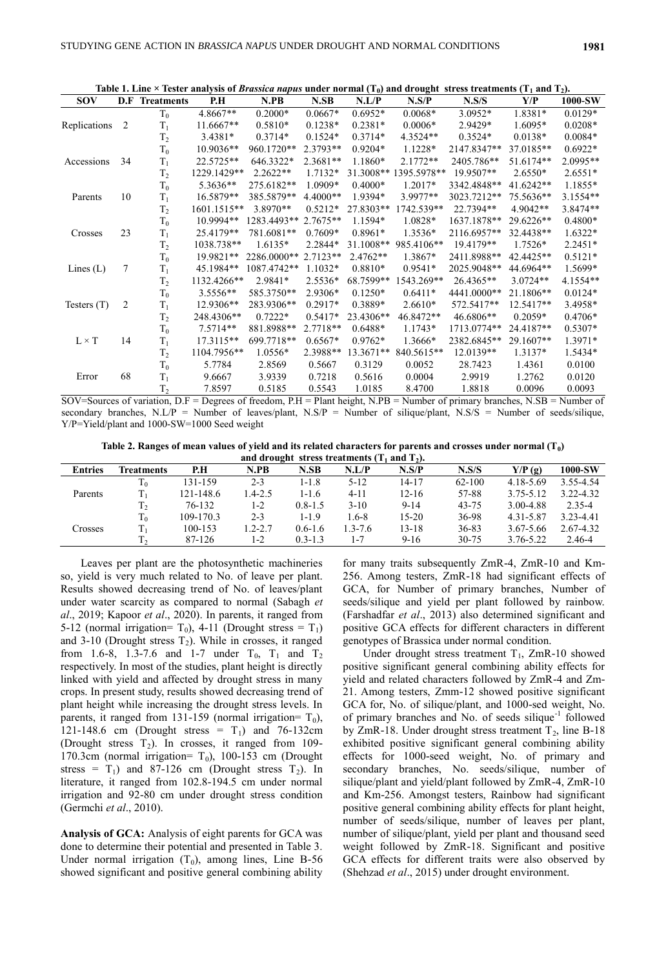| Table 1. Line $\times$ Tester analysis of <i>Brassica napus</i> under normal (T <sub>0</sub> ) and drought stress treatments (T <sub>1</sub> and T <sub>2</sub> ). |                |                       |             |             |            |             |                       |             |            |           |
|--------------------------------------------------------------------------------------------------------------------------------------------------------------------|----------------|-----------------------|-------------|-------------|------------|-------------|-----------------------|-------------|------------|-----------|
| <b>SOV</b>                                                                                                                                                         |                | <b>D.F</b> Treatments | P.H         | N.PB        | N.SB       | N.L/P       | N.S/P                 | N.S/S       | Y/P        | 1000-SW   |
|                                                                                                                                                                    |                | $T_0$                 | 4.8667**    | $0.2000*$   | $0.0667*$  | $0.6952*$   | $0.0068*$             | $3.0952*$   | 1.8381*    | $0.0129*$ |
| Replications                                                                                                                                                       | $\overline{2}$ | $T_1$                 | 11.6667**   | $0.5810*$   | $0.1238*$  | $0.2381*$   | $0.0006*$             | 2.9429*     | $1.6095*$  | $0.0208*$ |
|                                                                                                                                                                    |                | T <sub>2</sub>        | $3.4381*$   | $0.3714*$   | $0.1524*$  | $0.3714*$   | 4.3524**              | $0.3524*$   | $0.0138*$  | $0.0084*$ |
|                                                                                                                                                                    |                | $T_0$                 | $10.9036**$ | 960.1720**  | 2.3793**   | $0.9204*$   | 1.1228*               | 2147.8347** | 37.0185**  | $0.6922*$ |
| Accessions                                                                                                                                                         | 34             | $T_1$                 | 22.5725**   | 646.3322*   | $2.3681**$ | 1.1860*     | $2.1772**$            | 2405.786**  | 51.6174**  | 2.0995**  |
|                                                                                                                                                                    |                | T <sub>2</sub>        | 1229.1429** | $2.2622**$  | $1.7132*$  |             | 31.3008** 1395.5978** | 19.9507**   | $2.6550*$  | $2.6551*$ |
|                                                                                                                                                                    |                | $T_0$                 | 5.3636**    | 275.6182**  | 1.0909*    | $0.4000*$   | $1.2017*$             | 3342.4848** | 41.6242**  | $1.1855*$ |
| Parents                                                                                                                                                            | 10             | $T_1$                 | 16.5879**   | 385.5879**  | $4.4000**$ | 1.9394*     | 3.9977**              | 3023.7212** | 75.5636**  | 3.1554**  |
|                                                                                                                                                                    |                | T <sub>2</sub>        | 1601.1515** | 3.8970**    | $0.5212*$  | 27.8303**   | 1742.539**            | 22.7394**   | $4.9042**$ | 3.8474**  |
|                                                                                                                                                                    |                | $T_0$                 | 10.9994**   | 1283.4493** | $2.7675**$ | $1.1594*$   | 1.0828*               | 1637.1878** | 29.6226**  | $0.4800*$ |
| Crosses                                                                                                                                                            | 23             | $T_1$                 | 25.4179**   | 781.6081**  | $0.7609*$  | $0.8961*$   | $1.3536*$             | 2116.6957** | 32.4438**  | $1.6322*$ |
|                                                                                                                                                                    |                | T <sub>2</sub>        | 1038.738**  | $1.6135*$   | 2.2844*    | $31.1008**$ | 985.4106**            | 19.4179**   | $1.7526*$  | $2.2451*$ |
|                                                                                                                                                                    |                | $T_0$                 | 19.9821**   | 2286.0000** | $2.7123**$ | $2.4762**$  | 1.3867*               | 2411.8988** | 42.4425**  | $0.5121*$ |
| Lines $(L)$                                                                                                                                                        | 7              | $T_1$                 | 45.1984**   | 1087.4742** | $1.1032*$  | $0.8810*$   | $0.9541*$             | 2025.9048** | 44.6964**  | 1.5699*   |
|                                                                                                                                                                    |                | T <sub>2</sub>        | 1132.4266** | 2.9841*     | $2.5536*$  | 68.7599**   | 1543.269**            | 26.4365**   | $3.0724**$ | 4.1554**  |
|                                                                                                                                                                    |                | $T_0$                 | $3.5556**$  | 585.3750**  | 2.9306*    | $0.1250*$   | $0.6411*$             | 4441.0000** | 21.1806**  | $0.0124*$ |
| Testers $(T)$                                                                                                                                                      | 2              | $T_1$                 | 12.9306**   | 283.9306**  | $0.2917*$  | $0.3889*$   | $2.6610*$             | 572.5417**  | 12.5417**  | 3.4958*   |
|                                                                                                                                                                    |                | T <sub>2</sub>        | 248.4306**  | $0.7222*$   | $0.5417*$  | 23.4306**   | 46.8472**             | 46.6806**   | $0.2059*$  | $0.4706*$ |
|                                                                                                                                                                    |                | $T_0$                 | $7.5714**$  | 881.8988**  | $2.7718**$ | $0.6488*$   | $1.1743*$             | 1713.0774** | 24.4187**  | $0.5307*$ |
| $L \times T$                                                                                                                                                       | 14             | $T_1$                 | 17.3115**   | 699.7718**  | $0.6567*$  | $0.9762*$   | 1.3666*               | 2382.6845** | 29.1607**  | 1.3971*   |
|                                                                                                                                                                    |                | T <sub>2</sub>        | 1104.7956** | $1.0556*$   | 2.3988**   | 13.3671**   | 840.5615**            | $12.0139**$ | $1.3137*$  | $1.5434*$ |
|                                                                                                                                                                    |                | $T_0$                 | 5.7784      | 2.8569      | 0.5667     | 0.3129      | 0.0052                | 28.7423     | 1.4361     | 0.0100    |
| Error                                                                                                                                                              | 68             | $T_1$                 | 9.6667      | 3.9339      | 0.7218     | 0.5616      | 0.0004                | 2.9919      | 1.2762     | 0.0120    |
|                                                                                                                                                                    |                | T <sub>2</sub>        | 7.8597      | 0.5185      | 0.5543     | 1.0185      | 8.4700                | 1.8818      | 0.0096     | 0.0093    |

 $SOV=$  Sources of variation,  $D.F =$  Degrees of freedom,  $P.H =$  Plant height,  $N.PB =$  Number of primary branches,  $N.SB =$  Number of secondary branches, N.L/P = Number of leaves/plant, N.S/P = Number of silique/plant, N.S/S = Number of seeds/silique, Y/P=Yield/plant and 1000-SW=1000 Seed weight

**Table 2. Ranges of mean values of yield and its related characters for parents and crosses under normal (T<sup>0</sup> )** 

| and drought stress treatments $(T_1$ and $T_2$ ). |            |           |             |             |             |           |            |               |            |
|---------------------------------------------------|------------|-----------|-------------|-------------|-------------|-----------|------------|---------------|------------|
| <b>Entries</b>                                    | Treatments | P.H       | N.PB        | N.SB        | N.L/P       | N.S/P     | N.S/S      | Y/P(g)        | 1000-SW    |
|                                                   | $T_0$      | 131-159   | $2 - 3$     | 1-1.8       | $5-12$      | 14-17     | $62 - 100$ | 4.18-5.69     | 3.55-4.54  |
| Parents                                           |            | 121-148.6 | $1.4 - 2.5$ | 1-1.6       | $4 - 11$    | $12 - 16$ | 57-88      | $3.75 - 5.12$ | 3.22-4.32  |
|                                                   | $T_{2}$    | 76-132    | 1-2         | $0.8 - 1.5$ | $3-10$      | $9 - 14$  | $43 - 75$  | 3.00-4.88     | $2.35 - 4$ |
|                                                   | $T_0$      | 109-170.3 | $2 - 3$     | $1 - 1.9$   | $1.6 - 8$   | $15 - 20$ | 36-98      | 4.31-5.87     | 3.23-4.41  |
| Crosses                                           |            | 100-153   | $1.2 - 2.7$ | $0.6 - 1.6$ | $1.3 - 7.6$ | $13 - 18$ | $36 - 83$  | 3.67-5.66     | 2.67-4.32  |
|                                                   |            | 87-126    | 1-2         | $0.3 - 1.3$ | $1 - 7$     | $9-16$    | $30 - 75$  | 3.76-5.22     | 2.46-4     |
|                                                   |            |           |             |             |             |           |            |               |            |

Leaves per plant are the photosynthetic machineries so, yield is very much related to No. of leave per plant. Results showed decreasing trend of No. of leaves/plant under water scarcity as compared to normal (Sabagh *et al*., 2019; Kapoor *et al*., 2020). In parents, it ranged from 5-12 (normal irrigation=  $T_0$ ), 4-11 (Drought stress =  $T_1$ ) and 3-10 (Drought stress  $T_2$ ). While in crosses, it ranged from 1.6-8, 1.3-7.6 and 1-7 under  $T_0$ ,  $T_1$  and  $T_2$ respectively. In most of the studies, plant height is directly linked with yield and affected by drought stress in many crops. In present study, results showed decreasing trend of plant height while increasing the drought stress levels. In parents, it ranged from 131-159 (normal irrigation=  $T_0$ ), 121-148.6 cm (Drought stress =  $T_1$ ) and 76-132cm (Drought stress  $T_2$ ). In crosses, it ranged from 109-170.3cm (normal irrigation=  $T_0$ ), 100-153 cm (Drought stress =  $T_1$ ) and 87-126 cm (Drought stress  $T_2$ ). In literature, it ranged from 102.8-194.5 cm under normal irrigation and 92-80 cm under drought stress condition (Germchi *et al*., 2010).

**Analysis of GCA:** Analysis of eight parents for GCA was done to determine their potential and presented in Table 3. Under normal irrigation  $(T_0)$ , among lines, Line B-56 showed significant and positive general combining ability for many traits subsequently ZmR-4, ZmR-10 and Km-256. Among testers, ZmR-18 had significant effects of GCA, for Number of primary branches, Number of seeds/silique and yield per plant followed by rainbow. (Farshadfar *et al*., 2013) also determined significant and positive GCA effects for different characters in different genotypes of Brassica under normal condition.

Under drought stress treatment  $T_1$ , ZmR-10 showed positive significant general combining ability effects for yield and related characters followed by ZmR-4 and Zm-21. Among testers, Zmm-12 showed positive significant GCA for, No. of silique/plant, and 1000-sed weight, No. of primary branches and No. of seeds silique<sup>-1</sup> followed by ZmR-18. Under drought stress treatment  $T_2$ , line B-18 exhibited positive significant general combining ability effects for 1000-seed weight, No. of primary and secondary branches, No. seeds/silique, number of silique/plant and yield/plant followed by ZmR-4, ZmR-10 and Km-256. Amongst testers, Rainbow had significant positive general combining ability effects for plant height, number of seeds/silique, number of leaves per plant, number of silique/plant, yield per plant and thousand seed weight followed by ZmR-18. Significant and positive GCA effects for different traits were also observed by (Shehzad *et al*., 2015) under drought environment.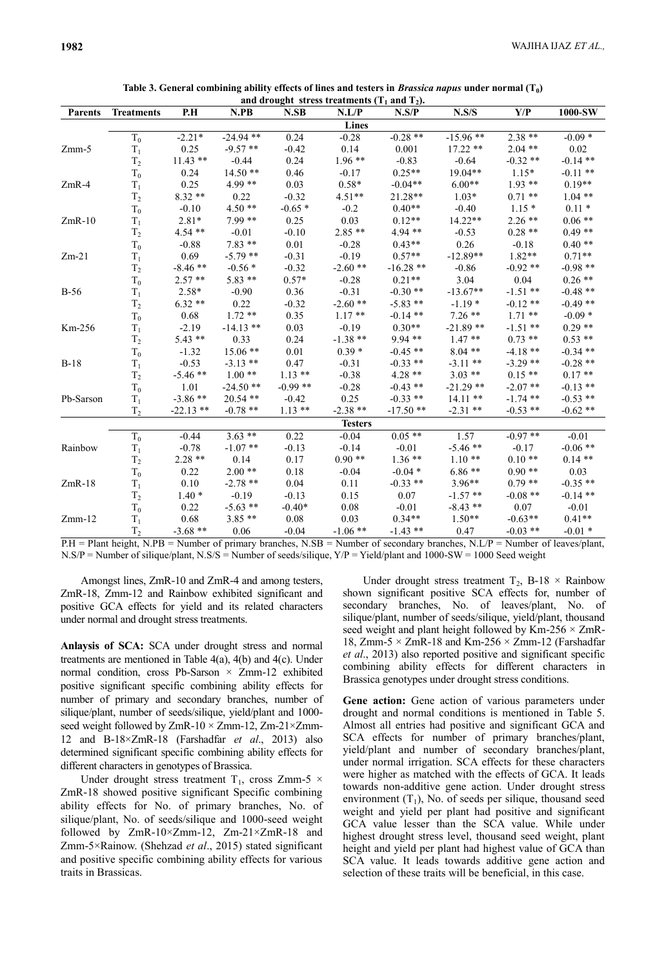|                |                   |             |             |           | and drought stress treatments $(T_1$ and $T_2$ ). |             |             |            |            |
|----------------|-------------------|-------------|-------------|-----------|---------------------------------------------------|-------------|-------------|------------|------------|
| <b>Parents</b> | <b>Treatments</b> | P.H         | N.PB        | N.SB      | N.L/P                                             | N.S/P       | N.S/S       | Y/P        | 1000-SW    |
|                |                   |             |             |           | <b>Lines</b>                                      |             |             |            |            |
|                | $T_0$             | $-2.21*$    | $-24.94$ ** | 0.24      | $-0.28$                                           | $-0.28$ **  | $-15.96$ ** | $2.38***$  | $-0.09*$   |
| $Zmm-5$        | $T_1$             | 0.25        | $-9.57**$   | $-0.42$   | 0.14                                              | 0.001       | $17.22**$   | $2.04$ **  | 0.02       |
|                | T <sub>2</sub>    | $11.43$ **  | $-0.44$     | 0.24      | $1.96**$                                          | $-0.83$     | $-0.64$     | $-0.32**$  | $-0.14$ ** |
|                | $T_0$             | 0.24        | $14.50**$   | 0.46      | $-0.17$                                           | $0.25**$    | $19.04**$   | $1.15*$    | $-0.11$ ** |
| $ZmR-4$        | $T_1$             | 0.25        | $4.99**$    | 0.03      | $0.58*$                                           | $-0.04**$   | $6.00**$    | $1.93**$   | $0.19**$   |
|                | T <sub>2</sub>    | $8.32**$    | 0.22        | $-0.32$   | $4.51**$                                          | $21.28**$   | $1.03*$     | $0.71**$   | $1.04$ **  |
|                | $T_0$             | $-0.10$     | $4.50**$    | $-0.65*$  | $-0.2$                                            | $0.40**$    | $-0.40$     | $1.15*$    | $0.11*$    |
| $ZmR-10$       | $T_1$             | $2.81*$     | $7.99**$    | 0.25      | 0.03                                              | $0.12**$    | $14.22**$   | $2.26$ **  | $0.06**$   |
|                | T <sub>2</sub>    | $4.54**$    | $-0.01$     | $-0.10$   | $2.85**$                                          | $4.94**$    | $-0.53$     | $0.28**$   | $0.49**$   |
|                | $T_0$             | $-0.88$     | $7.83**$    | 0.01      | $-0.28$                                           | $0.43**$    | 0.26        | $-0.18$    | $0.40**$   |
| $Zm-21$        | $T_1$             | 0.69        | $-5.79$ **  | $-0.31$   | $-0.19$                                           | $0.57**$    | $-12.89**$  | $1.82**$   | $0.71**$   |
|                | T <sub>2</sub>    | $-8.46**$   | $-0.56*$    | $-0.32$   | $-2.60**$                                         | $-16.28$ ** | $-0.86$     | $-0.92**$  | $-0.98$ ** |
|                | $T_0$             | $2.57**$    | $5.83**$    | $0.57*$   | $-0.28$                                           | $0.21**$    | 3.04        | 0.04       | $0.26**$   |
| $B-56$         | $T_1$             | $2.58*$     | $-0.90$     | 0.36      | $-0.31$                                           | $-0.30**$   | $-13.67**$  | $-1.51$ ** | $-0.48**$  |
|                | T <sub>2</sub>    | $6.32**$    | 0.22        | $-0.32$   | $-2.60$ **                                        | $-5.83$ **  | $-1.19*$    | $-0.12**$  | $-0.49**$  |
|                | $T_0$             | 0.68        | $1.72**$    | 0.35      | $1.17**$                                          | $-0.14$ **  | $7.26$ **   | $1.71$ **  | $-0.09*$   |
| Km-256         | $T_1$             | $-2.19$     | $-14.13$ ** | 0.03      | $-0.19$                                           | $0.30**$    | $-21.89**$  | $-1.51$ ** | $0.29**$   |
|                | $T_2$             | $5.43**$    | 0.33        | 0.24      | $-1.38$ **                                        | $9.94**$    | $1.47**$    | $0.73$ **  | $0.53**$   |
|                | $T_0$             | $-1.32$     | $15.06**$   | 0.01      | $0.39*$                                           | $-0.45$ **  | $8.04$ **   | $-4.18**$  | $-0.34$ ** |
| $B-18$         | $T_1$             | $-0.53$     | $-3.13$ **  | 0.47      | $-0.31$                                           | $-0.33$ **  | $-3.11$ **  | $-3.29**$  | $-0.28$ ** |
|                | T <sub>2</sub>    | $-5.46$ **  | $1.00**$    | $1.13**$  | $-0.38$                                           | $4.28**$    | $3.03$ **   | $0.15**$   | $0.17**$   |
|                | $T_0$             | 1.01        | $-24.50**$  | $-0.99**$ | $-0.28$                                           | $-0.43$ **  | $-21.29$ ** | $-2.07**$  | $-0.13$ ** |
| Pb-Sarson      | $T_1$             | $-3.86**$   | $20.54$ **  | $-0.42$   | 0.25                                              | $-0.33$ **  | $14.11$ **  | $-1.74$ ** | $-0.53$ ** |
|                | T <sub>2</sub>    | $-22.13$ ** | $-0.78$ **  | $1.13**$  | $-2.38$ **                                        | $-17.50**$  | $-2.31$ **  | $-0.53$ ** | $-0.62**$  |
|                |                   |             |             |           | <b>Testers</b>                                    |             |             |            |            |
|                | $T_0$             | $-0.44$     | $3.63**$    | 0.22      | $-0.04$                                           | $0.05$ **   | 1.57        | $-0.97**$  | $-0.01$    |
| Rainbow        | $T_1$             | $-0.78$     | $-1.07$ **  | $-0.13$   | $-0.14$                                           | $-0.01$     | $-5.46**$   | $-0.17$    | $-0.06$ ** |
|                | T <sub>2</sub>    | $2.28**$    | 0.14        | 0.17      | $0.90**$                                          | $1.36**$    | $1.10**$    | $0.10**$   | $0.14**$   |
|                | $T_0$             | 0.22        | $2.00**$    | 0.18      | $-0.04$                                           | $-0.04*$    | $6.86**$    | $0.90**$   | 0.03       |
| $ZmR-18$       | $T_1$             | 0.10        | $-2.78$ **  | 0.04      | 0.11                                              | $-0.33$ **  | $3.96**$    | $0.79**$   | $-0.35$ ** |
|                | T <sub>2</sub>    | $1.40*$     | $-0.19$     | $-0.13$   | 0.15                                              | 0.07        | $-1.57$ **  | $-0.08$ ** | $-0.14$ ** |
|                | $T_0$             | 0.22        | $-5.63$ **  | $-0.40*$  | 0.08                                              | $-0.01$     | $-8.43**$   | 0.07       | $-0.01$    |
| $Zmm-12$       | $T_1$             | 0.68        | $3.85**$    | 0.08      | 0.03                                              | $0.34**$    | $1.50**$    | $-0.63**$  | $0.41**$   |
|                | T <sub>2</sub>    | $-3.68$ **  | 0.06        | $-0.04$   | $-1.06$ **                                        | $-1.43$ **  | 0.47        | $-0.03$ ** | $-0.01*$   |

| Table 3. General combining ability effects of lines and testers in <i>Brassica napus</i> under normal $(T_0)$ |  |  |  |
|---------------------------------------------------------------------------------------------------------------|--|--|--|
|---------------------------------------------------------------------------------------------------------------|--|--|--|

P.H = Plant height, N.PB = Number of primary branches, N.SB = Number of secondary branches, N.L/P = Number of leaves/plant, N.S/P = Number of silique/plant, N.S/S = Number of seeds/silique, Y/P = Yield/plant and 1000-SW = 1000 Seed weight

Amongst lines, ZmR-10 and ZmR-4 and among testers, ZmR-18, Zmm-12 and Rainbow exhibited significant and positive GCA effects for yield and its related characters under normal and drought stress treatments.

**Anlaysis of SCA:** SCA under drought stress and normal treatments are mentioned in Table 4(a), 4(b) and 4(c). Under normal condition, cross Pb-Sarson × Zmm-12 exhibited positive significant specific combining ability effects for number of primary and secondary branches, number of silique/plant, number of seeds/silique, yield/plant and 1000 seed weight followed by ZmR-10  $\times$  Zmm-12, Zm-21 $\times$ Zmm-12 and B-18×ZmR-18 (Farshadfar *et al*., 2013) also determined significant specific combining ability effects for different characters in genotypes of Brassica.

Under drought stress treatment T<sub>1</sub>, cross Zmm-5  $\times$ ZmR-18 showed positive significant Specific combining ability effects for No. of primary branches, No. of silique/plant, No. of seeds/silique and 1000-seed weight followed by ZmR-10×Zmm-12, Zm-21×ZmR-18 and Zmm-5×Rainow. (Shehzad *et al*., 2015) stated significant and positive specific combining ability effects for various traits in Brassicas.

Under drought stress treatment  $T_2$ , B-18  $\times$  Rainbow shown significant positive SCA effects for, number of secondary branches, No. of leaves/plant, No. of silique/plant, number of seeds/silique, yield/plant, thousand seed weight and plant height followed by Km-256  $\times$  ZmR-18, Zmm-5  $\times$  ZmR-18 and Km-256  $\times$  Zmm-12 (Farshadfar *et al*., 2013) also reported positive and significant specific combining ability effects for different characters in Brassica genotypes under drought stress conditions.

**Gene action:** Gene action of various parameters under drought and normal conditions is mentioned in Table 5. Almost all entries had positive and significant GCA and SCA effects for number of primary branches/plant, yield/plant and number of secondary branches/plant, under normal irrigation. SCA effects for these characters were higher as matched with the effects of GCA. It leads towards non-additive gene action. Under drought stress environment  $(T_1)$ , No. of seeds per silique, thousand seed weight and yield per plant had positive and significant GCA value lesser than the SCA value. While under highest drought stress level, thousand seed weight, plant height and yield per plant had highest value of GCA than SCA value. It leads towards additive gene action and selection of these traits will be beneficial, in this case.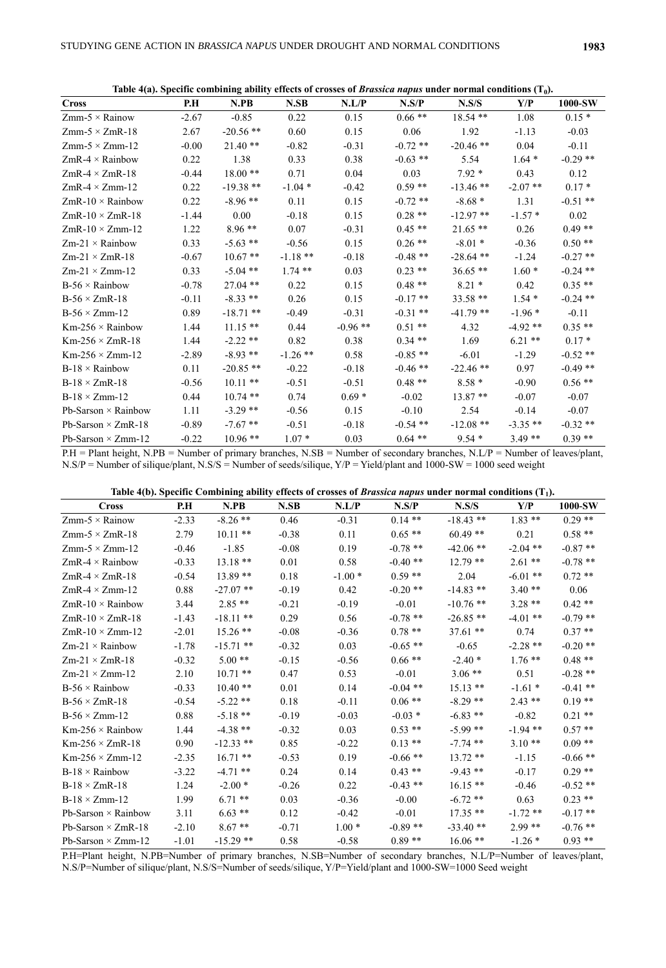**Table 4(a). Specific combining ability effects of crosses of** *Brassica napus* **under normal conditions (T<sup>0</sup> ).**

|                            |         |             |            |            |            | Table T(a), Specific combining abouty clicets of crosses of <i>Drussica hapas</i> under normal conditions (T <sub>0</sub> ). |            |            |
|----------------------------|---------|-------------|------------|------------|------------|------------------------------------------------------------------------------------------------------------------------------|------------|------------|
| <b>Cross</b>               | P.H     | N.PB        | N.SB       | N.L/P      | N.S/P      | N.S/S                                                                                                                        | Y/P        | 1000-SW    |
| $Zmm-5 \times Rainow$      | $-2.67$ | $-0.85$     | 0.22       | 0.15       | $0.66$ **  | $18.54**$                                                                                                                    | 1.08       | $0.15*$    |
| $Zmm-5 \times ZmR-18$      | 2.67    | $-20.56$ ** | 0.60       | 0.15       | 0.06       | 1.92                                                                                                                         | $-1.13$    | $-0.03$    |
| $Zmm-5 \times Zmm-12$      | $-0.00$ | $21.40**$   | $-0.82$    | $-0.31$    | $-0.72$ ** | $-20.46**$                                                                                                                   | 0.04       | $-0.11$    |
| $ZmR-4 \times Rainbow$     | 0.22    | 1.38        | 0.33       | 0.38       | $-0.63$ ** | 5.54                                                                                                                         | $1.64*$    | $-0.29$ ** |
| $ZmR-4 \times ZmR-18$      | $-0.44$ | $18.00**$   | 0.71       | 0.04       | 0.03       | $7.92*$                                                                                                                      | 0.43       | 0.12       |
| $ZmR-4 \times Zmm-12$      | 0.22    | $-19.38**$  | $-1.04*$   | $-0.42$    | $0.59**$   | $-13.46$ **                                                                                                                  | $-2.07$ ** | $0.17*$    |
| $ZmR-10 \times Rainbow$    | 0.22    | $-8.96**$   | 0.11       | 0.15       | $-0.72$ ** | $-8.68*$                                                                                                                     | 1.31       | $-0.51$ ** |
| $ZmR-10 \times ZmR-18$     | $-1.44$ | 0.00        | $-0.18$    | 0.15       | $0.28**$   | $-12.97**$                                                                                                                   | $-1.57*$   | 0.02       |
| $ZmR-10 \times Zmm-12$     | 1.22    | $8.96**$    | 0.07       | $-0.31$    | $0.45**$   | $21.65**$                                                                                                                    | 0.26       | $0.49**$   |
| $Zm-21 \times$ Rainbow     | 0.33    | $-5.63$ **  | $-0.56$    | 0.15       | $0.26$ **  | $-8.01*$                                                                                                                     | $-0.36$    | $0.50**$   |
| $Zm-21 \times ZmR-18$      | $-0.67$ | $10.67**$   | $-1.18**$  | $-0.18$    | $-0.48$ ** | $-28.64$ **                                                                                                                  | $-1.24$    | $-0.27$ ** |
| $Zm-21 \times Zmm-12$      | 0.33    | $-5.04$ **  | $1.74$ **  | 0.03       | $0.23$ **  | $36.65**$                                                                                                                    | $1.60*$    | $-0.24$ ** |
| $B-56 \times$ Rainbow      | $-0.78$ | $27.04$ **  | 0.22       | 0.15       | $0.48$ **  | $8.21*$                                                                                                                      | 0.42       | $0.35**$   |
| $B-56 \times ZmR-18$       | $-0.11$ | $-8.33$ **  | 0.26       | 0.15       | $-0.17$ ** | $33.58**$                                                                                                                    | $1.54*$    | $-0.24$ ** |
| $B-56 \times Zmm-12$       | 0.89    | $-18.71$ ** | $-0.49$    | $-0.31$    | $-0.31$ ** | $-41.79$ **                                                                                                                  | $-1.96*$   | $-0.11$    |
| $Km-256 \times$ Rainbow    | 1.44    | $11.15**$   | 0.44       | $-0.96$ ** | $0.51**$   | 4.32                                                                                                                         | $-4.92**$  | $0.35**$   |
| $Km-256 \times ZmR-18$     | 1.44    | $-2.22$ **  | 0.82       | 0.38       | $0.34$ **  | 1.69                                                                                                                         | $6.21**$   | $0.17*$    |
| $Km-256 \times Zmm-12$     | $-2.89$ | $-8.93$ **  | $-1.26$ ** | 0.58       | $-0.85$ ** | $-6.01$                                                                                                                      | $-1.29$    | $-0.52**$  |
| $B-18 \times$ Rainbow      | 0.11    | $-20.85$ ** | $-0.22$    | $-0.18$    | $-0.46$ ** | $-22.46$ **                                                                                                                  | 0.97       | $-0.49**$  |
| $B-18 \times ZmR-18$       | $-0.56$ | $10.11$ **  | $-0.51$    | $-0.51$    | $0.48**$   | $8.58*$                                                                                                                      | $-0.90$    | $0.56**$   |
| $B-18 \times Zmm-12$       | 0.44    | $10.74$ **  | 0.74       | $0.69*$    | $-0.02$    | $13.87**$                                                                                                                    | $-0.07$    | $-0.07$    |
| Pb-Sarson $\times$ Rainbow | 1.11    | $-3.29$ **  | $-0.56$    | 0.15       | $-0.10$    | 2.54                                                                                                                         | $-0.14$    | $-0.07$    |
| Pb-Sarson $\times$ ZmR-18  | $-0.89$ | $-7.67**$   | $-0.51$    | $-0.18$    | $-0.54$ ** | $-12.08$ **                                                                                                                  | $-3.35$ ** | $-0.32**$  |
| Pb-Sarson $\times$ Zmm-12  | $-0.22$ | $10.96**$   | $1.07*$    | 0.03       | $0.64$ **  | $9.54*$                                                                                                                      | $3.49**$   | $0.39**$   |

P.H = Plant height, N.PB = Number of primary branches, N.SB = Number of secondary branches, N.L/P = Number of leaves/plant, N.S/P = Number of silique/plant, N.S/S = Number of seeds/silique, Y/P = Yield/plant and 1000-SW = 1000 seed weight

**Table 4(b). Specific Combining ability effects of crosses of** *Brassica napus* **under normal conditions (T<sup>1</sup> ).**

| <b>Cross</b>               | P.H     | N.PB        | N.SB    | N.L/P    | N.S/P      | N.S/S       | Y/P        | 1000-SW    |
|----------------------------|---------|-------------|---------|----------|------------|-------------|------------|------------|
| $Zmm-5 \times Rainow$      | $-2.33$ | $-8.26$ **  | 0.46    | $-0.31$  | $0.14$ **  | $-18.43$ ** | $1.83$ **  | $0.29$ **  |
| $Zmm-5 \times ZmR-18$      | 2.79    | $10.11$ **  | $-0.38$ | 0.11     | $0.65$ **  | $60.49**$   | 0.21       | $0.58**$   |
| $Zmm-5 \times Zmm-12$      | $-0.46$ | $-1.85$     | $-0.08$ | 0.19     | $-0.78$ ** | $-42.06$ ** | $-2.04$ ** | $-0.87**$  |
| ZmR-4 $\times$ Rainbow     | $-0.33$ | $13.18**$   | 0.01    | 0.58     | $-0.40**$  | $12.79$ **  | $2.61**$   | $-0.78$ ** |
| $ZmR-4 \times ZmR-18$      | $-0.54$ | 13.89 **    | 0.18    | $-1.00*$ | $0.59**$   | 2.04        | $-6.01$ ** | $0.72$ **  |
| $ZmR-4 \times Zmm-12$      | 0.88    | $-27.07$ ** | $-0.19$ | 0.42     | $-0.20$ ** | $-14.83$ ** | $3.40**$   | 0.06       |
| $ZmR-10 \times Rainbow$    | 3.44    | $2.85**$    | $-0.21$ | $-0.19$  | $-0.01$    | $-10.76$ ** | $3.28**$   | $0.42**$   |
| $ZmR-10 \times ZmR-18$     | $-1.43$ | $-18.11**$  | 0.29    | 0.56     | $-0.78$ ** | $-26.85**$  | $-4.01$ ** | $-0.79$ ** |
| $ZmR-10 \times Zmm-12$     | $-2.01$ | $15.26$ **  | $-0.08$ | $-0.36$  | $0.78$ **  | $37.61$ **  | 0.74       | $0.37**$   |
| $Zm-21 \times$ Rainbow     | $-1.78$ | $-15.71$ ** | $-0.32$ | 0.03     | $-0.65$ ** | $-0.65$     | $-2.28$ ** | $-0.20$ ** |
| $Zm-21 \times ZmR-18$      | $-0.32$ | $5.00**$    | $-0.15$ | $-0.56$  | $0.66**$   | $-2.40*$    | $1.76**$   | $0.48**$   |
| $Zm-21 \times Zmm-12$      | 2.10    | $10.71$ **  | 0.47    | 0.53     | $-0.01$    | $3.06$ **   | 0.51       | $-0.28$ ** |
| $B-56 \times$ Rainbow      | $-0.33$ | $10.40**$   | 0.01    | 0.14     | $-0.04$ ** | $15.13**$   | $-1.61*$   | $-0.41$ ** |
| $B-56 \times ZmR-18$       | $-0.54$ | $-5.22$ **  | 0.18    | $-0.11$  | $0.06**$   | $-8.29$ **  | $2.43**$   | $0.19**$   |
| $B-56 \times Zmm-12$       | 0.88    | $-5.18$ **  | $-0.19$ | $-0.03$  | $-0.03*$   | $-6.83**$   | $-0.82$    | $0.21$ **  |
| $Km-256 \times Rainbow$    | 1.44    | $-4.38$ **  | $-0.32$ | 0.03     | $0.53**$   | $-5.99$ **  | $-1.94$ ** | $0.57**$   |
| $Km-256 \times ZmR-18$     | 0.90    | $-12.33$ ** | 0.85    | $-0.22$  | $0.13**$   | $-7.74$ **  | $3.10**$   | $0.09**$   |
| $Km-256 \times Zmm-12$     | $-2.35$ | $16.71$ **  | $-0.53$ | 0.19     | $-0.66$ ** | $13.72**$   | $-1.15$    | $-0.66$ ** |
| $B-18 \times$ Rainbow      | $-3.22$ | $-4.71$ **  | 0.24    | 0.14     | $0.43$ **  | $-9.43$ **  | $-0.17$    | $0.29$ **  |
| $B-18 \times ZmR-18$       | 1.24    | $-2.00*$    | $-0.26$ | 0.22     | $-0.43$ ** | $16.15**$   | $-0.46$    | $-0.52$ ** |
| $B-18 \times Zmm-12$       | 1.99    | $6.71$ **   | 0.03    | $-0.36$  | $-0.00$    | $-6.72$ **  | 0.63       | $0.23$ **  |
| Pb-Sarson $\times$ Rainbow | 3.11    | $6.63**$    | 0.12    | $-0.42$  | $-0.01$    | $17.35**$   | $-1.72$ ** | $-0.17**$  |
| Pb-Sarson $\times$ ZmR-18  | $-2.10$ | $8.67**$    | $-0.71$ | $1.00*$  | $-0.89**$  | $-33.40**$  | $2.99**$   | $-0.76$ ** |
| Pb-Sarson $\times$ Zmm-12  | $-1.01$ | $-15.29$ ** | 0.58    | $-0.58$  | $0.89**$   | $16.06**$   | $-1.26*$   | $0.93$ **  |

P.H=Plant height, N.PB=Number of primary branches, N.SB=Number of secondary branches, N.L/P=Number of leaves/plant, N.S/P=Number of silique/plant, N.S/S=Number of seeds/silique, Y/P=Yield/plant and 1000-SW=1000 Seed weight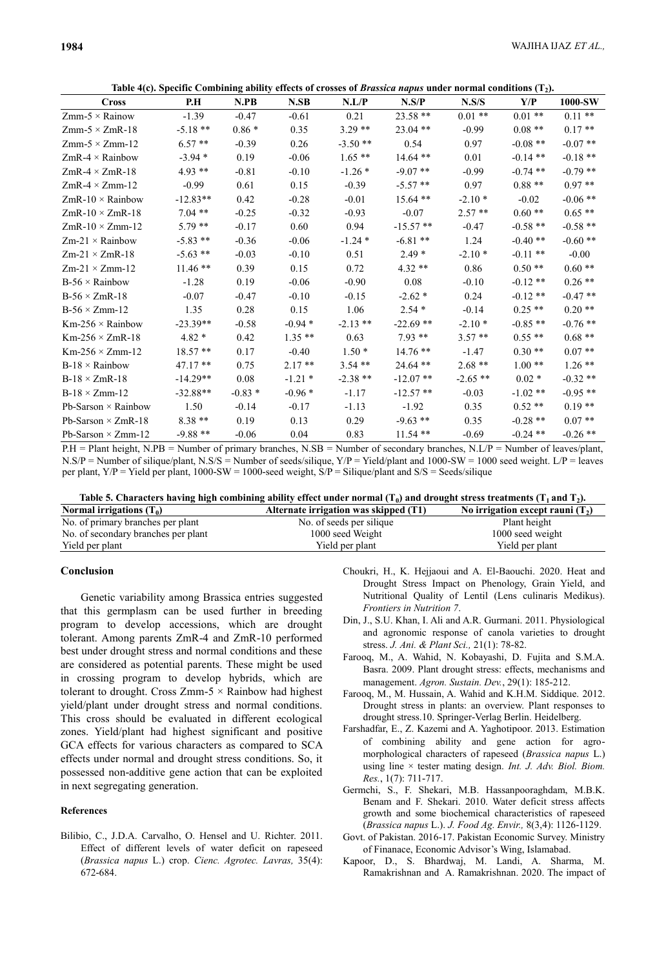**Table 4(c). Specific Combining ability effects of crosses of** *Brassica napus* **under normal conditions (T<sup>2</sup> ).**

| <b>Cross</b>               | P.H        | N.PB     | N.SB      | N.L/P      | $\ldots$ . The specific companing which or crosses of <i>B</i> rassiea $\ldots$ and $\ldots$ and $\ldots$ conditions $\left(\frac{1}{2}\right)$<br>N.S/P | N.S/S      | Y/P        | 1000-SW    |
|----------------------------|------------|----------|-----------|------------|----------------------------------------------------------------------------------------------------------------------------------------------------------|------------|------------|------------|
| $Zmm-5 \times$ Rainow      | $-1.39$    | $-0.47$  | $-0.61$   | 0.21       | $23.58**$                                                                                                                                                | $0.01$ **  | $0.01**$   | $0.11$ **  |
| $Zmm-5 \times ZmR-18$      | $-5.18**$  | $0.86*$  | 0.35      | $3.29**$   | $23.04$ **                                                                                                                                               | $-0.99$    | $0.08**$   | $0.17**$   |
| $Zmm-5 \times Zmm-12$      | $6.57**$   | $-0.39$  | 0.26      | $-3.50$ ** | 0.54                                                                                                                                                     | 0.97       | $-0.08$ ** | $-0.07$ ** |
| $ZmR-4 \times Rainbow$     | $-3.94*$   | 0.19     | $-0.06$   | $1.65**$   | $14.64$ **                                                                                                                                               | 0.01       | $-0.14$ ** | $-0.18$ ** |
| $ZmR-4 \times ZmR-18$      | $4.93**$   | $-0.81$  | $-0.10$   | $-1.26*$   | $-9.07$ **                                                                                                                                               | $-0.99$    | $-0.74$ ** | $-0.79$ ** |
| $ZmR-4 \times Zmm-12$      | $-0.99$    | 0.61     | 0.15      | $-0.39$    | $-5.57**$                                                                                                                                                | 0.97       | $0.88**$   | $0.97**$   |
| $ZmR-10 \times Rainbow$    | $-12.83**$ | 0.42     | $-0.28$   | $-0.01$    | $15.64$ **                                                                                                                                               | $-2.10*$   | $-0.02$    | $-0.06$ ** |
| $ZmR-10 \times ZmR-18$     | $7.04**$   | $-0.25$  | $-0.32$   | $-0.93$    | $-0.07$                                                                                                                                                  | $2.57**$   | $0.60**$   | $0.65**$   |
| $ZmR-10 \times Zmm-12$     | $5.79**$   | $-0.17$  | 0.60      | 0.94       | $-15.57$ **                                                                                                                                              | $-0.47$    | $-0.58$ ** | $-0.58$ ** |
| $Zm-21 \times$ Rainbow     | $-5.83$ ** | $-0.36$  | $-0.06$   | $-1.24$ *  | $-6.81**$                                                                                                                                                | 1.24       | $-0.40**$  | $-0.60**$  |
| $Zm-21 \times ZmR-18$      | $-5.63$ ** | $-0.03$  | $-0.10$   | 0.51       | $2.49*$                                                                                                                                                  | $-2.10*$   | $-0.11$ ** | $-0.00$    |
| $Zm-21 \times Zmm-12$      | $11.46**$  | 0.39     | 0.15      | 0.72       | $4.32**$                                                                                                                                                 | 0.86       | $0.50**$   | $0.60**$   |
| $B-56 \times$ Rainbow      | $-1.28$    | 0.19     | $-0.06$   | $-0.90$    | 0.08                                                                                                                                                     | $-0.10$    | $-0.12**$  | $0.26$ **  |
| $B-56 \times ZmR-18$       | $-0.07$    | $-0.47$  | $-0.10$   | $-0.15$    | $-2.62*$                                                                                                                                                 | 0.24       | $-0.12**$  | $-0.47**$  |
| $B-56 \times Zmm-12$       | 1.35       | 0.28     | 0.15      | 1.06       | $2.54*$                                                                                                                                                  | $-0.14$    | $0.25$ **  | $0.20**$   |
| $Km-256 \times$ Rainbow    | $-23.39**$ | $-0.58$  | $-0.94*$  | $-2.13$ ** | $-22.69$ **                                                                                                                                              | $-2.10*$   | $-0.85$ ** | $-0.76$ ** |
| $Km-256 \times ZmR-18$     | $4.82*$    | 0.42     | $1.35**$  | 0.63       | $7.93**$                                                                                                                                                 | $3.57**$   | $0.55**$   | $0.68**$   |
| $Km-256 \times Zmm-12$     | $18.57**$  | 0.17     | $-0.40$   | $1.50*$    | $14.76$ **                                                                                                                                               | $-1.47$    | $0.30**$   | $0.07**$   |
| $B-18 \times$ Rainbow      | $47.17**$  | 0.75     | $2.17**$  | $3.54$ **  | $24.64$ **                                                                                                                                               | $2.68**$   | $1.00**$   | $1.26$ **  |
| $B-18 \times ZmR-18$       | $-14.29**$ | 0.08     | $-1.21$ * | $-2.38$ ** | $-12.07$ **                                                                                                                                              | $-2.65$ ** | $0.02*$    | $-0.32**$  |
| $B-18 \times Zmm-12$       | $-32.88**$ | $-0.83*$ | $-0.96*$  | $-1.17$    | $-12.57$ **                                                                                                                                              | $-0.03$    | $-1.02**$  | $-0.95**$  |
| Pb-Sarson $\times$ Rainbow | 1.50       | $-0.14$  | $-0.17$   | $-1.13$    | $-1.92$                                                                                                                                                  | 0.35       | $0.52**$   | $0.19**$   |
| Pb-Sarson $\times$ ZmR-18  | $8.38**$   | 0.19     | 0.13      | 0.29       | $-9.63$ **                                                                                                                                               | 0.35       | $-0.28$ ** | $0.07**$   |
| Pb-Sarson $\times$ Zmm-12  | $-9.88**$  | $-0.06$  | 0.04      | 0.83       | $11.54$ **                                                                                                                                               | $-0.69$    | $-0.24$ ** | $-0.26$ ** |

P.H = Plant height, N.PB = Number of primary branches, N.SB = Number of secondary branches, N.L/P = Number of leaves/plant,  $N.S/P =$  Number of silique/plant,  $N.S/S =$  Number of seeds/silique,  $Y/P =$  Yield/plant and 1000-SW = 1000 seed weight. L/P = leaves per plant, Y/P = Yield per plant, 1000-SW = 1000-seed weight, S/P = Silique/plant and S/S = Seeds/silique

|            | Table 5. Characters having high combining ability effect under normal ( $T_0$ ) and drought stress treatments ( $T_1$ and $T_2$ ). |                                                                                                                 |  |  |  |  |  |
|------------|------------------------------------------------------------------------------------------------------------------------------------|-----------------------------------------------------------------------------------------------------------------|--|--|--|--|--|
| . <i>.</i> |                                                                                                                                    | the contract of the contract of the contract of the contract of the contract of the contract of the contract of |  |  |  |  |  |

| Normal irrigations $(T_0)$          | Alternate irrigation was skipped (T1) | No irrigation except rauni $(T_2)$ |
|-------------------------------------|---------------------------------------|------------------------------------|
| No. of primary branches per plant   | No. of seeds per silique              | Plant height                       |
| No. of secondary branches per plant | 1000 seed Weight                      | 1000 seed weight                   |
| Yield per plant                     | Yield per plant                       | Yield per plant                    |
|                                     |                                       |                                    |

## **Conclusion**

Genetic variability among Brassica entries suggested that this germplasm can be used further in breeding program to develop accessions, which are drought tolerant. Among parents ZmR-4 and ZmR-10 performed best under drought stress and normal conditions and these are considered as potential parents. These might be used in crossing program to develop hybrids, which are tolerant to drought. Cross Zmm-5  $\times$  Rainbow had highest yield/plant under drought stress and normal conditions. This cross should be evaluated in different ecological zones. Yield/plant had highest significant and positive GCA effects for various characters as compared to SCA effects under normal and drought stress conditions. So, it possessed non-additive gene action that can be exploited in next segregating generation.

### **References**

Bilibio, C., J.D.A. Carvalho, O. Hensel and U. Richter. 2011. Effect of different levels of water deficit on rapeseed (*Brassica napus* L.) crop. *Cienc. Agrotec. Lavras,* 35(4): 672-684.

- Choukri, H., K. Hejjaoui and A. El-Baouchi. 2020. Heat and Drought Stress Impact on Phenology, Grain Yield, and Nutritional Quality of Lentil (Lens culinaris Medikus). *Frontiers in Nutrition 7*.
- Din, J., S.U. Khan, I. Ali and A.R. Gurmani. 2011. Physiological and agronomic response of canola varieties to drought stress. *J. Ani. & Plant Sci.,* 21(1): 78-82.
- Farooq, M., A. Wahid, N. Kobayashi, D. Fujita and S.M.A. Basra. 2009. Plant drought stress: effects, mechanisms and management. *Agron. Sustain. Dev.*, 29(1): 185-212.
- Farooq, M., M. Hussain, A. Wahid and K.H.M. Siddique. 2012. Drought stress in plants: an overview. Plant responses to drought stress.10. Springer-Verlag Berlin. Heidelberg.
- Farshadfar, E., Z. Kazemi and A. Yaghotipoor. 2013. Estimation of combining ability and gene action for agromorphological characters of rapeseed (*Brassica napus* L.) using line × tester mating design. *Int. J. Adv. Biol. Biom. Res.*, 1(7): 711-717.
- Germchi, S., F. Shekari, M.B. Hassanpooraghdam, M.B.K. Benam and F. Shekari. 2010. Water deficit stress affects growth and some biochemical characteristics of rapeseed (*Brassica napus* L.). *J. Food Ag. Envir.,* 8(3,4): 1126-1129.
- Govt. of Pakistan. 2016-17. Pakistan Economic Survey. Ministry of Finanace, Economic Advisor's Wing, Islamabad.
- Kapoor, D., S. Bhardwaj, M. Landi, A. Sharma, M. Ramakrishnan and A. Ramakrishnan. 2020. The impact of